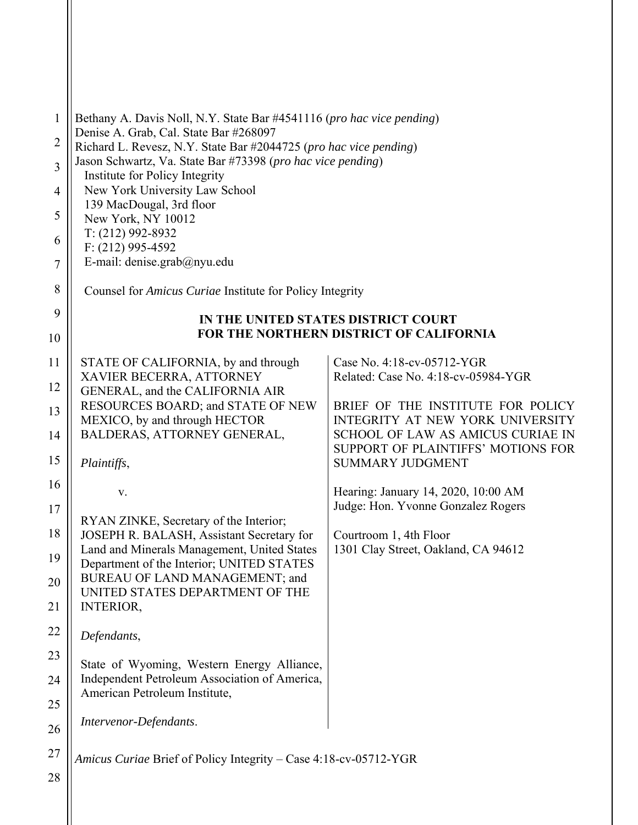| $\mathbf{1}$   | Bethany A. Davis Noll, N.Y. State Bar #4541116 (pro hac vice pending)<br>Denise A. Grab, Cal. State Bar #268097 |                                                                       |  |
|----------------|-----------------------------------------------------------------------------------------------------------------|-----------------------------------------------------------------------|--|
| $\overline{2}$ | Richard L. Revesz, N.Y. State Bar #2044725 (pro hac vice pending)                                               |                                                                       |  |
| 3              | Jason Schwartz, Va. State Bar #73398 (pro hac vice pending)<br>Institute for Policy Integrity                   |                                                                       |  |
| 4              | New York University Law School                                                                                  |                                                                       |  |
| 5              | 139 MacDougal, 3rd floor<br>New York, NY 10012                                                                  |                                                                       |  |
| 6              | T: (212) 992-8932<br>$F: (212)$ 995-4592                                                                        |                                                                       |  |
| 7              | E-mail: denise.grab@nyu.edu                                                                                     |                                                                       |  |
| 8              | Counsel for <i>Amicus Curiae</i> Institute for Policy Integrity                                                 |                                                                       |  |
| 9              | IN THE UNITED STATES DISTRICT COURT                                                                             |                                                                       |  |
| 10             | FOR THE NORTHERN DISTRICT OF CALIFORNIA                                                                         |                                                                       |  |
| 11             | STATE OF CALIFORNIA, by and through                                                                             | Case No. 4:18-cv-05712-YGR                                            |  |
| 12             | XAVIER BECERRA, ATTORNEY<br>GENERAL, and the CALIFORNIA AIR                                                     | Related: Case No. 4:18-cv-05984-YGR                                   |  |
| 13             | RESOURCES BOARD; and STATE OF NEW<br>MEXICO, by and through HECTOR                                              | BRIEF OF THE INSTITUTE FOR POLICY<br>INTEGRITY AT NEW YORK UNIVERSITY |  |
| 14             | BALDERAS, ATTORNEY GENERAL,                                                                                     | SCHOOL OF LAW AS AMICUS CURIAE IN                                     |  |
| 15             | Plaintiffs,                                                                                                     | SUPPORT OF PLAINTIFFS' MOTIONS FOR<br><b>SUMMARY JUDGMENT</b>         |  |
| 16             | V.                                                                                                              | Hearing: January 14, 2020, 10:00 AM                                   |  |
| 17             |                                                                                                                 | Judge: Hon. Yvonne Gonzalez Rogers                                    |  |
| 18             | RYAN ZINKE, Secretary of the Interior;<br>JOSEPH R. BALASH, Assistant Secretary for                             | Courtroom 1, 4th Floor                                                |  |
| 19             | Land and Minerals Management, United States                                                                     | 1301 Clay Street, Oakland, CA 94612                                   |  |
| 20             | Department of the Interior; UNITED STATES<br>BUREAU OF LAND MANAGEMENT; and                                     |                                                                       |  |
| 21             | UNITED STATES DEPARTMENT OF THE<br><b>INTERIOR,</b>                                                             |                                                                       |  |
| 22             |                                                                                                                 |                                                                       |  |
|                | Defendants,                                                                                                     |                                                                       |  |
| 23             | State of Wyoming, Western Energy Alliance,                                                                      |                                                                       |  |
| 24             | Independent Petroleum Association of America,<br>American Petroleum Institute,                                  |                                                                       |  |
| 25<br>26       | Intervenor-Defendants.                                                                                          |                                                                       |  |
| 27             |                                                                                                                 |                                                                       |  |
| 28             | Amicus Curiae Brief of Policy Integrity - Case 4:18-cv-05712-YGR                                                |                                                                       |  |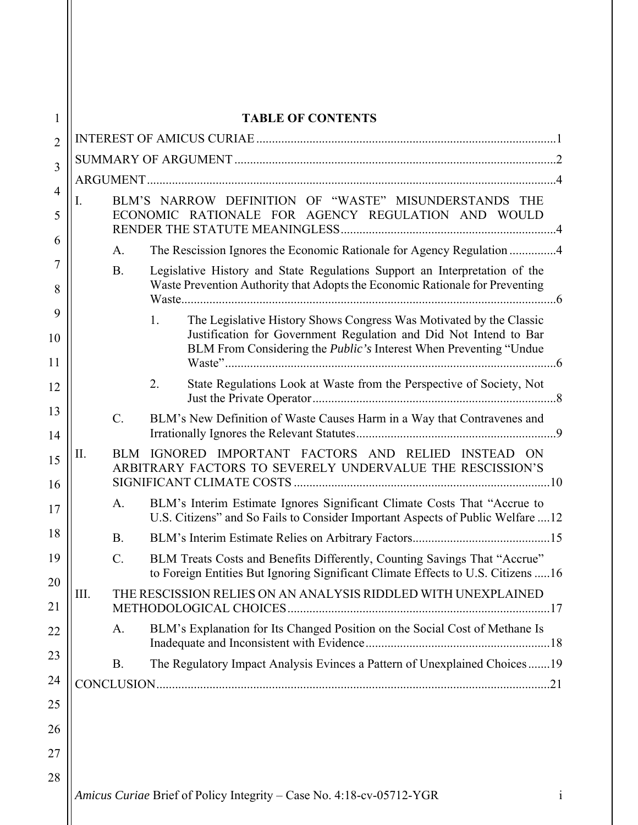| 1                   | <b>TABLE OF CONTENTS</b>                                                                                                                                                |                                                                                                                                                                   |                                                                                                                                                                                                                            |  |  |
|---------------------|-------------------------------------------------------------------------------------------------------------------------------------------------------------------------|-------------------------------------------------------------------------------------------------------------------------------------------------------------------|----------------------------------------------------------------------------------------------------------------------------------------------------------------------------------------------------------------------------|--|--|
| $\overline{2}$      |                                                                                                                                                                         |                                                                                                                                                                   |                                                                                                                                                                                                                            |  |  |
| 3                   |                                                                                                                                                                         |                                                                                                                                                                   |                                                                                                                                                                                                                            |  |  |
|                     |                                                                                                                                                                         |                                                                                                                                                                   |                                                                                                                                                                                                                            |  |  |
| $\overline{4}$<br>5 | BLM'S NARROW DEFINITION OF "WASTE" MISUNDERSTANDS THE<br>I.<br>ECONOMIC RATIONALE FOR AGENCY REGULATION AND WOULD                                                       |                                                                                                                                                                   |                                                                                                                                                                                                                            |  |  |
| 6                   | The Rescission Ignores the Economic Rationale for Agency Regulation 4<br>A.                                                                                             |                                                                                                                                                                   |                                                                                                                                                                                                                            |  |  |
| 7<br>8              | Legislative History and State Regulations Support an Interpretation of the<br><b>B.</b><br>Waste Prevention Authority that Adopts the Economic Rationale for Preventing |                                                                                                                                                                   |                                                                                                                                                                                                                            |  |  |
| 9<br>10<br>11       |                                                                                                                                                                         |                                                                                                                                                                   | The Legislative History Shows Congress Was Motivated by the Classic<br>1.<br>Justification for Government Regulation and Did Not Intend to Bar<br>BLM From Considering the <i>Public's</i> Interest When Preventing "Undue |  |  |
| 12                  |                                                                                                                                                                         |                                                                                                                                                                   | State Regulations Look at Waste from the Perspective of Society, Not<br>2.                                                                                                                                                 |  |  |
| 13<br>14            |                                                                                                                                                                         | $C_{\cdot}$                                                                                                                                                       | BLM's New Definition of Waste Causes Harm in a Way that Contravenes and                                                                                                                                                    |  |  |
| 15<br>16            | IGNORED IMPORTANT FACTORS AND RELIED INSTEAD ON<br>П.<br>BLM<br>ARBITRARY FACTORS TO SEVERELY UNDERVALUE THE RESCISSION'S                                               |                                                                                                                                                                   |                                                                                                                                                                                                                            |  |  |
| 17                  |                                                                                                                                                                         | BLM's Interim Estimate Ignores Significant Climate Costs That "Accrue to<br>A.<br>U.S. Citizens" and So Fails to Consider Important Aspects of Public Welfare  12 |                                                                                                                                                                                                                            |  |  |
| 18                  |                                                                                                                                                                         | <b>B.</b>                                                                                                                                                         |                                                                                                                                                                                                                            |  |  |
| 19<br>20            |                                                                                                                                                                         | C.                                                                                                                                                                | BLM Treats Costs and Benefits Differently, Counting Savings That "Accrue"<br>to Foreign Entities But Ignoring Significant Climate Effects to U.S. Citizens  16                                                             |  |  |
| 21                  | Ш.<br>THE RESCISSION RELIES ON AN ANALYSIS RIDDLED WITH UNEXPLAINED                                                                                                     |                                                                                                                                                                   |                                                                                                                                                                                                                            |  |  |
| 22                  |                                                                                                                                                                         | A.                                                                                                                                                                | BLM's Explanation for Its Changed Position on the Social Cost of Methane Is                                                                                                                                                |  |  |
| 23                  |                                                                                                                                                                         | <b>B.</b>                                                                                                                                                         | The Regulatory Impact Analysis Evinces a Pattern of Unexplained Choices19                                                                                                                                                  |  |  |
| 24                  |                                                                                                                                                                         |                                                                                                                                                                   |                                                                                                                                                                                                                            |  |  |
| 25                  |                                                                                                                                                                         |                                                                                                                                                                   |                                                                                                                                                                                                                            |  |  |
| 26                  |                                                                                                                                                                         |                                                                                                                                                                   |                                                                                                                                                                                                                            |  |  |
| 27                  |                                                                                                                                                                         |                                                                                                                                                                   |                                                                                                                                                                                                                            |  |  |
| 28                  |                                                                                                                                                                         |                                                                                                                                                                   |                                                                                                                                                                                                                            |  |  |
|                     |                                                                                                                                                                         |                                                                                                                                                                   | Amicus Curiae Brief of Policy Integrity - Case No. 4:18-cv-05712-YGR                                                                                                                                                       |  |  |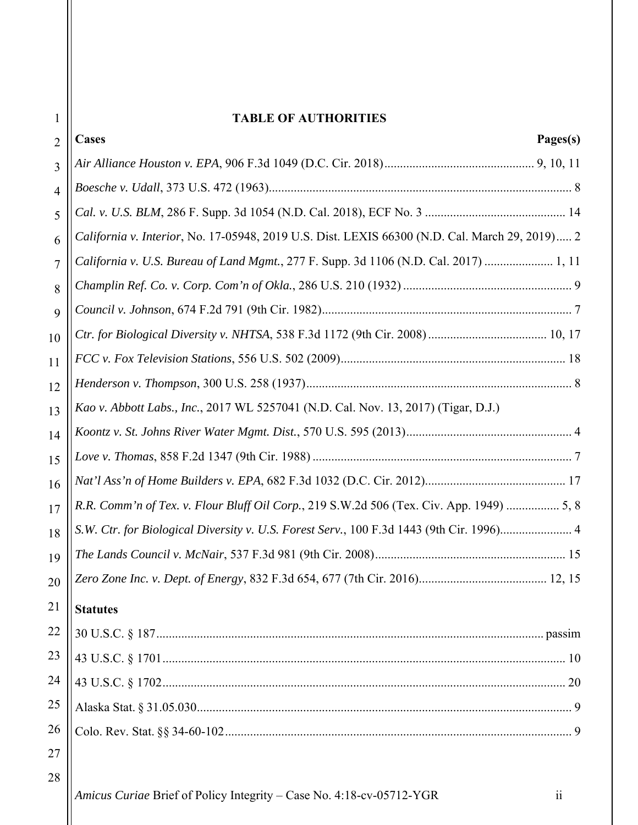# **TABLE OF AUTHORITIES**

| $\overline{2}$ | <b>Cases</b><br>Pages(s)                                                                       |  |
|----------------|------------------------------------------------------------------------------------------------|--|
| 3              |                                                                                                |  |
| $\overline{4}$ |                                                                                                |  |
| 5              |                                                                                                |  |
| 6              | California v. Interior, No. 17-05948, 2019 U.S. Dist. LEXIS 66300 (N.D. Cal. March 29, 2019) 2 |  |
| 7              | California v. U.S. Bureau of Land Mgmt., 277 F. Supp. 3d 1106 (N.D. Cal. 2017)  1, 11          |  |
| 8              |                                                                                                |  |
| 9              |                                                                                                |  |
| 10             |                                                                                                |  |
| 11             |                                                                                                |  |
| 12             |                                                                                                |  |
| 13             | Kao v. Abbott Labs., Inc., 2017 WL 5257041 (N.D. Cal. Nov. 13, 2017) (Tigar, D.J.)             |  |
| 14             |                                                                                                |  |
| 15             |                                                                                                |  |
| 16             |                                                                                                |  |
| 17             | R.R. Comm'n of Tex. v. Flour Bluff Oil Corp., 219 S.W.2d 506 (Tex. Civ. App. 1949)  5, 8       |  |
| 18             | S.W. Ctr. for Biological Diversity v. U.S. Forest Serv., 100 F.3d 1443 (9th Cir. 1996) 4       |  |
| 19             |                                                                                                |  |
| 20             |                                                                                                |  |
| 21             | <b>Statutes</b>                                                                                |  |
| 22             |                                                                                                |  |
| 23             |                                                                                                |  |
| 24             |                                                                                                |  |
| 25             |                                                                                                |  |
| 26             |                                                                                                |  |
| 27             |                                                                                                |  |
| 28             |                                                                                                |  |
|                | Amicus Curiae Brief of Policy Integrity - Case No. 4:18-cv-05712-YGR<br>$\ddot{\mathbf{i}}$    |  |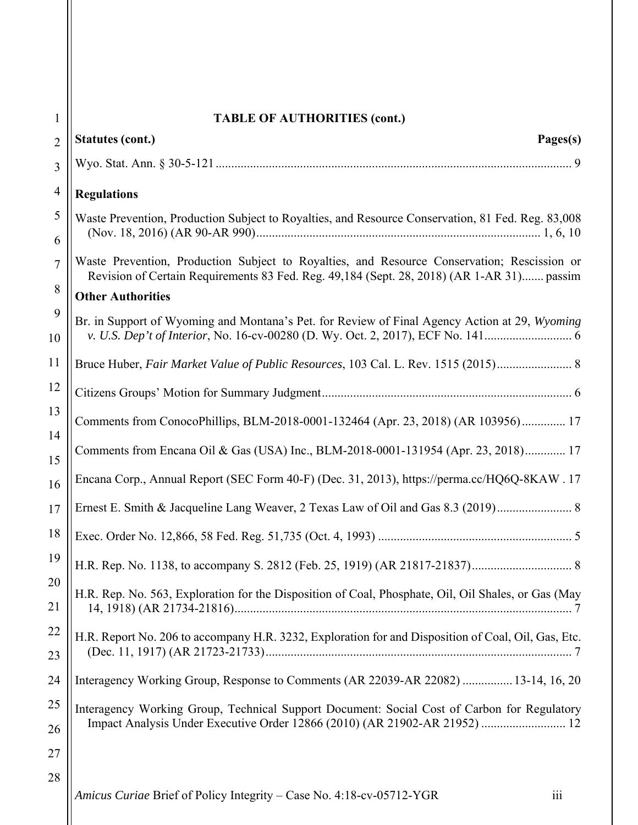| 1              | <b>TABLE OF AUTHORITIES (cont.)</b>                                                                                                                                                      |  |  |  |
|----------------|------------------------------------------------------------------------------------------------------------------------------------------------------------------------------------------|--|--|--|
| $\overline{2}$ | <b>Statutes (cont.)</b><br>Pages(s)                                                                                                                                                      |  |  |  |
| 3              |                                                                                                                                                                                          |  |  |  |
| $\overline{4}$ | <b>Regulations</b>                                                                                                                                                                       |  |  |  |
| 5<br>6         | Waste Prevention, Production Subject to Royalties, and Resource Conservation, 81 Fed. Reg. 83,008                                                                                        |  |  |  |
| $\overline{7}$ | Waste Prevention, Production Subject to Royalties, and Resource Conservation; Rescission or<br>Revision of Certain Requirements 83 Fed. Reg. 49,184 (Sept. 28, 2018) (AR 1-AR 31) passim |  |  |  |
| 8              | <b>Other Authorities</b>                                                                                                                                                                 |  |  |  |
| 9<br>10        | Br. in Support of Wyoming and Montana's Pet. for Review of Final Agency Action at 29, Wyoming                                                                                            |  |  |  |
| 11             |                                                                                                                                                                                          |  |  |  |
| 12             |                                                                                                                                                                                          |  |  |  |
| 13             | Comments from ConocoPhillips, BLM-2018-0001-132464 (Apr. 23, 2018) (AR 103956) 17                                                                                                        |  |  |  |
| 14<br>15       | Comments from Encana Oil & Gas (USA) Inc., BLM-2018-0001-131954 (Apr. 23, 2018) 17                                                                                                       |  |  |  |
| 16             | Encana Corp., Annual Report (SEC Form 40-F) (Dec. 31, 2013), https://perma.cc/HQ6Q-8KAW. 17                                                                                              |  |  |  |
| 17             | Ernest E. Smith & Jacqueline Lang Weaver, 2 Texas Law of Oil and Gas 8.3 (2019)                                                                                                          |  |  |  |
| 18             |                                                                                                                                                                                          |  |  |  |
| 19             |                                                                                                                                                                                          |  |  |  |
| 20<br>21       | H.R. Rep. No. 563, Exploration for the Disposition of Coal, Phosphate, Oil, Oil Shales, or Gas (May                                                                                      |  |  |  |
| 22<br>23       | H.R. Report No. 206 to accompany H.R. 3232, Exploration for and Disposition of Coal, Oil, Gas, Etc.                                                                                      |  |  |  |
| 24             | Interagency Working Group, Response to Comments (AR 22039-AR 22082)  13-14, 16, 20                                                                                                       |  |  |  |
| 25             | Interagency Working Group, Technical Support Document: Social Cost of Carbon for Regulatory                                                                                              |  |  |  |
| 26             | Impact Analysis Under Executive Order 12866 (2010) (AR 21902-AR 21952)  12                                                                                                               |  |  |  |
| 27             |                                                                                                                                                                                          |  |  |  |
| 28             | iii<br>Amicus Curiae Brief of Policy Integrity - Case No. 4:18-cv-05712-YGR                                                                                                              |  |  |  |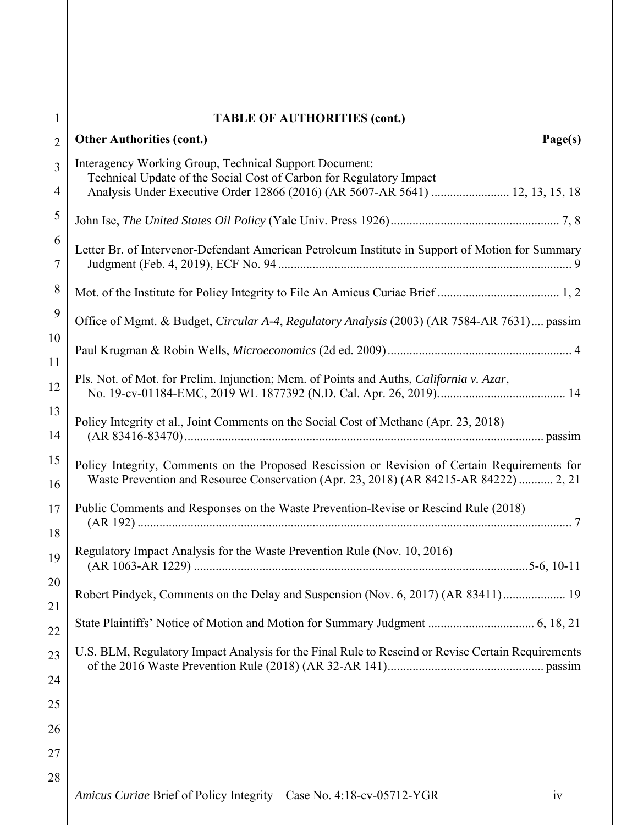|                | <b>TABLE OF AUTHORITIES (cont.)</b>                                                                                                                                                    |  |  |
|----------------|----------------------------------------------------------------------------------------------------------------------------------------------------------------------------------------|--|--|
| $\overline{2}$ | <b>Other Authorities (cont.)</b><br>Page(s)                                                                                                                                            |  |  |
| 3              | Interagency Working Group, Technical Support Document:<br>Technical Update of the Social Cost of Carbon for Regulatory Impact                                                          |  |  |
| 4              | Analysis Under Executive Order 12866 (2016) (AR 5607-AR 5641)  12, 13, 15, 18                                                                                                          |  |  |
| 5              |                                                                                                                                                                                        |  |  |
| 6<br>7         | Letter Br. of Intervenor-Defendant American Petroleum Institute in Support of Motion for Summary                                                                                       |  |  |
| 8              |                                                                                                                                                                                        |  |  |
| 9              | Office of Mgmt. & Budget, Circular A-4, Regulatory Analysis (2003) (AR 7584-AR 7631) passim                                                                                            |  |  |
| 10<br>11       |                                                                                                                                                                                        |  |  |
| 12             | Pls. Not. of Mot. for Prelim. Injunction; Mem. of Points and Auths, California v. Azar,                                                                                                |  |  |
| 13<br>14       | Policy Integrity et al., Joint Comments on the Social Cost of Methane (Apr. 23, 2018)                                                                                                  |  |  |
| 15<br>16       | Policy Integrity, Comments on the Proposed Rescission or Revision of Certain Requirements for<br>Waste Prevention and Resource Conservation (Apr. 23, 2018) (AR 84215-AR 84222)  2, 21 |  |  |
| 17<br>18       | Public Comments and Responses on the Waste Prevention-Revise or Rescind Rule (2018)                                                                                                    |  |  |
| 19             | Regulatory Impact Analysis for the Waste Prevention Rule (Nov. 10, 2016)                                                                                                               |  |  |
| 20<br>21       | Robert Pindyck, Comments on the Delay and Suspension (Nov. 6, 2017) (AR 83411) 19                                                                                                      |  |  |
| 22             |                                                                                                                                                                                        |  |  |
| 23             | U.S. BLM, Regulatory Impact Analysis for the Final Rule to Rescind or Revise Certain Requirements                                                                                      |  |  |
| 24             |                                                                                                                                                                                        |  |  |
| 25             |                                                                                                                                                                                        |  |  |
| 26             |                                                                                                                                                                                        |  |  |
| 27             |                                                                                                                                                                                        |  |  |
| 28             |                                                                                                                                                                                        |  |  |
|                | Amicus Curiae Brief of Policy Integrity - Case No. 4:18-cv-05712-YGR<br>1V                                                                                                             |  |  |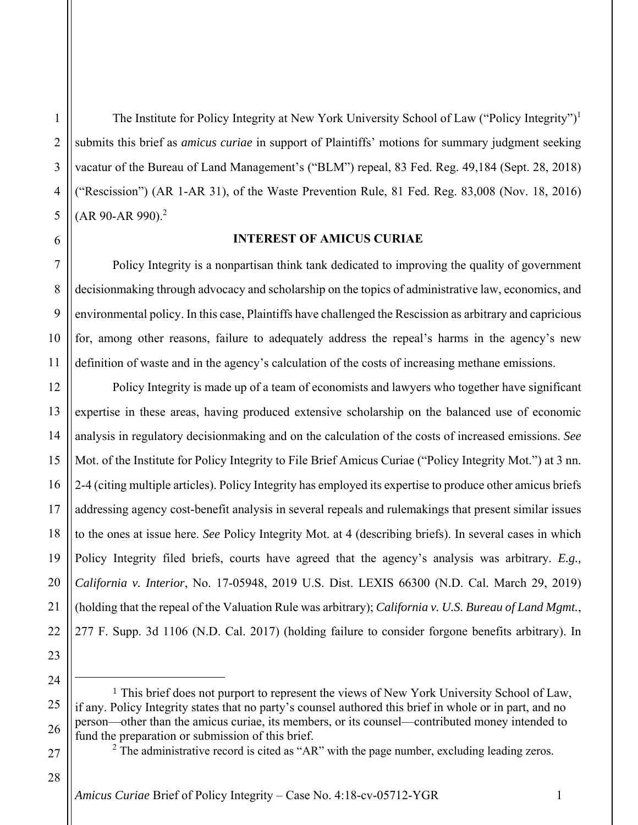2

3

4

5

The Institute for Policy Integrity at New York University School of Law ("Policy Integrity")<sup>1</sup> submits this brief as *amicus curiae* in support of Plaintiffs' motions for summary judgment seeking vacatur of the Bureau of Land Management's ("BLM") repeal, 83 Fed. Reg. 49,184 (Sept. 28, 2018) ("Rescission") (AR 1-AR 31), of the Waste Prevention Rule, 81 Fed. Reg. 83,008 (Nov. 18, 2016)  $(AR 90-AR 990).<sup>2</sup>$ 

#### **INTEREST OF AMICUS CURIAE**

Policy Integrity is a nonpartisan think tank dedicated to improving the quality of government decisionmaking through advocacy and scholarship on the topics of administrative law, economics, and environmental policy. In this case, Plaintiffs have challenged the Rescission as arbitrary and capricious for, among other reasons, failure to adequately address the repeal's harms in the agency's new definition of waste and in the agency's calculation of the costs of increasing methane emissions.

Policy Integrity is made up of a team of economists and lawyers who together have significant expertise in these areas, having produced extensive scholarship on the balanced use of economic analysis in regulatory decisionmaking and on the calculation of the costs of increased emissions. *See* Mot. of the Institute for Policy Integrity to File Brief Amicus Curiae ("Policy Integrity Mot.") at 3 nn. 2-4 (citing multiple articles). Policy Integrity has employed its expertise to produce other amicus briefs addressing agency cost-benefit analysis in several repeals and rulemakings that present similar issues to the ones at issue here. *See* Policy Integrity Mot. at 4 (describing briefs). In several cases in which Policy Integrity filed briefs, courts have agreed that the agency's analysis was arbitrary. *E.g., California v. Interior*, No. 17-05948, 2019 U.S. Dist. LEXIS 66300 (N.D. Cal. March 29, 2019) (holding that the repeal of the Valuation Rule was arbitrary); *California v. U.S. Bureau of Land Mgmt.*, 277 F. Supp. 3d 1106 (N.D. Cal. 2017) (holding failure to consider forgone benefits arbitrary). In

28

<u>.</u>

<sup>&</sup>lt;sup>1</sup> This brief does not purport to represent the views of New York University School of Law, if any. Policy Integrity states that no party's counsel authored this brief in whole or in part, and no person—other than the amicus curiae, its members, or its counsel—contributed money intended to fund the preparation or submission of this brief.

 $2$  The administrative record is cited as "AR" with the page number, excluding leading zeros.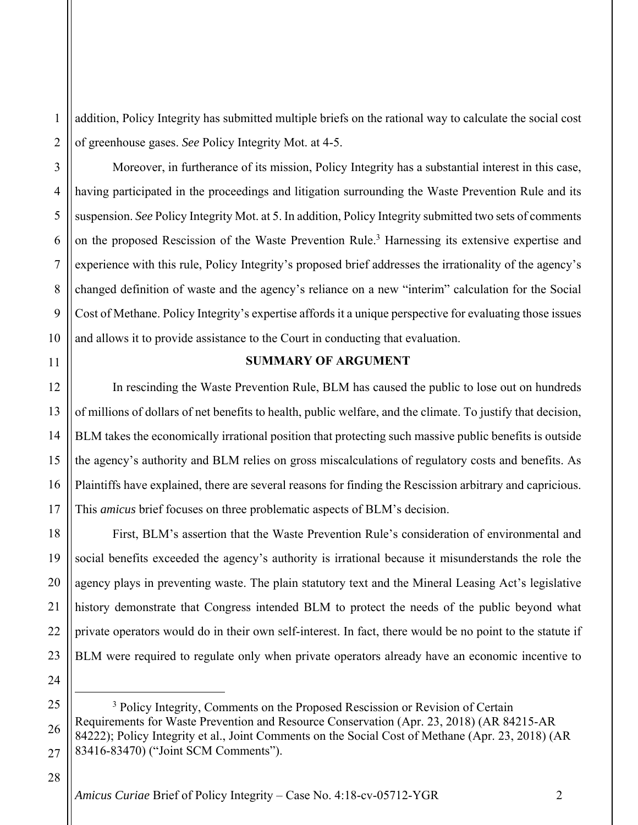1 2 addition, Policy Integrity has submitted multiple briefs on the rational way to calculate the social cost of greenhouse gases. *See* Policy Integrity Mot. at 4-5.

Moreover, in furtherance of its mission, Policy Integrity has a substantial interest in this case, having participated in the proceedings and litigation surrounding the Waste Prevention Rule and its suspension. *See* Policy Integrity Mot. at 5. In addition, Policy Integrity submitted two sets of comments on the proposed Rescission of the Waste Prevention Rule.<sup>3</sup> Harnessing its extensive expertise and experience with this rule, Policy Integrity's proposed brief addresses the irrationality of the agency's changed definition of waste and the agency's reliance on a new "interim" calculation for the Social Cost of Methane. Policy Integrity's expertise affords it a unique perspective for evaluating those issues and allows it to provide assistance to the Court in conducting that evaluation.

#### **SUMMARY OF ARGUMENT**

In rescinding the Waste Prevention Rule, BLM has caused the public to lose out on hundreds of millions of dollars of net benefits to health, public welfare, and the climate. To justify that decision, BLM takes the economically irrational position that protecting such massive public benefits is outside the agency's authority and BLM relies on gross miscalculations of regulatory costs and benefits. As Plaintiffs have explained, there are several reasons for finding the Rescission arbitrary and capricious. This *amicus* brief focuses on three problematic aspects of BLM's decision.

First, BLM's assertion that the Waste Prevention Rule's consideration of environmental and social benefits exceeded the agency's authority is irrational because it misunderstands the role the agency plays in preventing waste. The plain statutory text and the Mineral Leasing Act's legislative history demonstrate that Congress intended BLM to protect the needs of the public beyond what private operators would do in their own self-interest. In fact, there would be no point to the statute if BLM were required to regulate only when private operators already have an economic incentive to

28

3

4

5

6

7

8

9

10

11

12

13

14

15

16

17

18

19

20

21

22

23

24

<sup>25</sup> 26 27 3 <sup>3</sup> Policy Integrity, Comments on the Proposed Rescission or Revision of Certain Requirements for Waste Prevention and Resource Conservation (Apr. 23, 2018) (AR 84215-AR 84222); Policy Integrity et al., Joint Comments on the Social Cost of Methane (Apr. 23, 2018) (AR 83416-83470) ("Joint SCM Comments").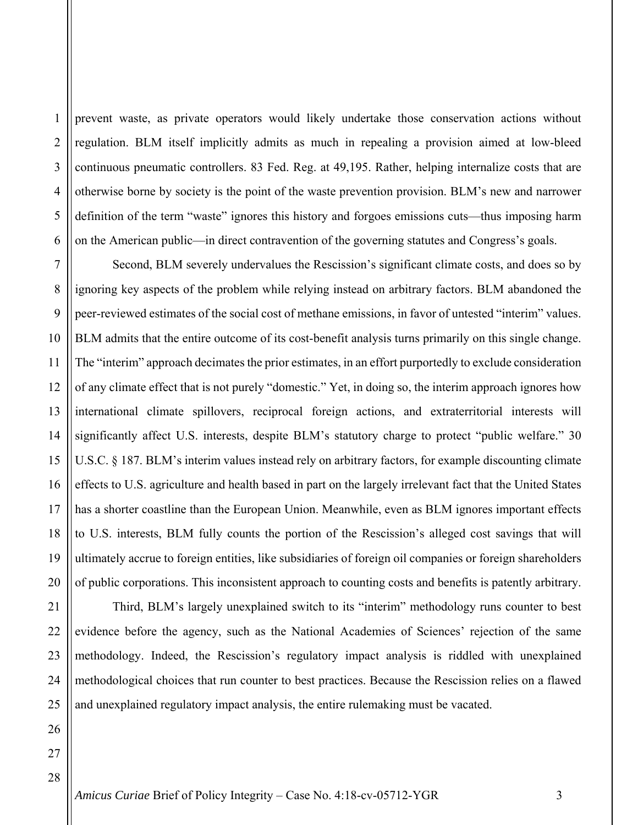2 3 4 prevent waste, as private operators would likely undertake those conservation actions without regulation. BLM itself implicitly admits as much in repealing a provision aimed at low-bleed continuous pneumatic controllers. 83 Fed. Reg. at 49,195. Rather, helping internalize costs that are otherwise borne by society is the point of the waste prevention provision. BLM's new and narrower definition of the term "waste" ignores this history and forgoes emissions cuts—thus imposing harm on the American public—in direct contravention of the governing statutes and Congress's goals.

Second, BLM severely undervalues the Rescission's significant climate costs, and does so by ignoring key aspects of the problem while relying instead on arbitrary factors. BLM abandoned the peer-reviewed estimates of the social cost of methane emissions, in favor of untested "interim" values. BLM admits that the entire outcome of its cost-benefit analysis turns primarily on this single change. The "interim" approach decimates the prior estimates, in an effort purportedly to exclude consideration of any climate effect that is not purely "domestic." Yet, in doing so, the interim approach ignores how international climate spillovers, reciprocal foreign actions, and extraterritorial interests will significantly affect U.S. interests, despite BLM's statutory charge to protect "public welfare." 30 U.S.C. § 187. BLM's interim values instead rely on arbitrary factors, for example discounting climate effects to U.S. agriculture and health based in part on the largely irrelevant fact that the United States has a shorter coastline than the European Union. Meanwhile, even as BLM ignores important effects to U.S. interests, BLM fully counts the portion of the Rescission's alleged cost savings that will ultimately accrue to foreign entities, like subsidiaries of foreign oil companies or foreign shareholders of public corporations. This inconsistent approach to counting costs and benefits is patently arbitrary.

Third, BLM's largely unexplained switch to its "interim" methodology runs counter to best evidence before the agency, such as the National Academies of Sciences' rejection of the same methodology. Indeed, the Rescission's regulatory impact analysis is riddled with unexplained methodological choices that run counter to best practices. Because the Rescission relies on a flawed and unexplained regulatory impact analysis, the entire rulemaking must be vacated.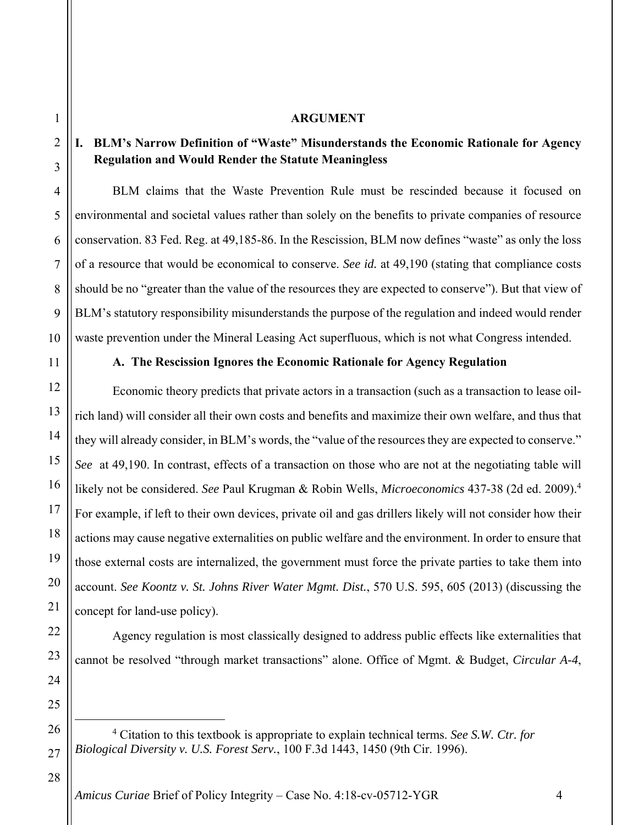#### **ARGUMENT**

#### **I. BLM's Narrow Definition of "Waste" Misunderstands the Economic Rationale for Agency Regulation and Would Render the Statute Meaningless**

BLM claims that the Waste Prevention Rule must be rescinded because it focused on environmental and societal values rather than solely on the benefits to private companies of resource conservation. 83 Fed. Reg. at 49,185-86. In the Rescission, BLM now defines "waste" as only the loss of a resource that would be economical to conserve. *See id.* at 49,190 (stating that compliance costs should be no "greater than the value of the resources they are expected to conserve"). But that view of BLM's statutory responsibility misunderstands the purpose of the regulation and indeed would render waste prevention under the Mineral Leasing Act superfluous, which is not what Congress intended.

1

2

3

4

5

6

7

8

9

10

11

12

13

14

15

16

17

18

19

20

21

22

23

24

25

26

27

#### **A. The Rescission Ignores the Economic Rationale for Agency Regulation**

Economic theory predicts that private actors in a transaction (such as a transaction to lease oilrich land) will consider all their own costs and benefits and maximize their own welfare, and thus that they will already consider, in BLM's words, the "value of the resources they are expected to conserve." *See* at 49,190. In contrast, effects of a transaction on those who are not at the negotiating table will likely not be considered. *See* Paul Krugman & Robin Wells, *Microeconomics* 437-38 (2d ed. 2009).<sup>4</sup> For example, if left to their own devices, private oil and gas drillers likely will not consider how their actions may cause negative externalities on public welfare and the environment. In order to ensure that those external costs are internalized, the government must force the private parties to take them into account. *See Koontz v. St. Johns River Water Mgmt. Dist.*, 570 U.S. 595, 605 (2013) (discussing the concept for land-use policy).

Agency regulation is most classically designed to address public effects like externalities that cannot be resolved "through market transactions" alone. Office of Mgmt. & Budget, *Circular A-4*,

28

 $\overline{\phantom{a}}$  Citation to this textbook is appropriate to explain technical terms. *See S.W. Ctr. for Biological Diversity v. U.S. Forest Serv.*, 100 F.3d 1443, 1450 (9th Cir. 1996).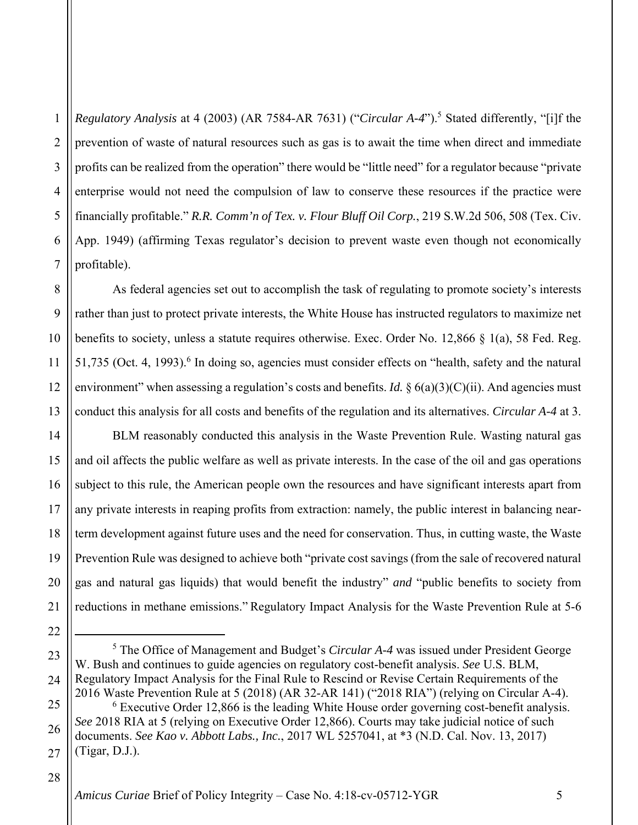1 2 3 4 5 6 7 *Regulatory Analysis* at 4 (2003) (AR 7584-AR 7631) ("*Circular A-4*").<sup>5</sup> Stated differently, "[i]f the prevention of waste of natural resources such as gas is to await the time when direct and immediate profits can be realized from the operation" there would be "little need" for a regulator because "private enterprise would not need the compulsion of law to conserve these resources if the practice were financially profitable." *R.R. Comm'n of Tex. v. Flour Bluff Oil Corp.*, 219 S.W.2d 506, 508 (Tex. Civ. App. 1949) (affirming Texas regulator's decision to prevent waste even though not economically profitable).

As federal agencies set out to accomplish the task of regulating to promote society's interests rather than just to protect private interests, the White House has instructed regulators to maximize net benefits to society, unless a statute requires otherwise. Exec. Order No. 12,866 § 1(a), 58 Fed. Reg. 51,735 (Oct. 4, 1993).<sup>6</sup> In doing so, agencies must consider effects on "health, safety and the natural environment" when assessing a regulation's costs and benefits. *Id.* § 6(a)(3)(C)(ii). And agencies must conduct this analysis for all costs and benefits of the regulation and its alternatives. *Circular A-4* at 3.

BLM reasonably conducted this analysis in the Waste Prevention Rule. Wasting natural gas and oil affects the public welfare as well as private interests. In the case of the oil and gas operations subject to this rule, the American people own the resources and have significant interests apart from any private interests in reaping profits from extraction: namely, the public interest in balancing nearterm development against future uses and the need for conservation. Thus, in cutting waste, the Waste Prevention Rule was designed to achieve both "private cost savings (from the sale of recovered natural gas and natural gas liquids) that would benefit the industry" *and* "public benefits to society from reductions in methane emissions." Regulatory Impact Analysis for the Waste Prevention Rule at 5-6

23 24 25 26  $\frac{1}{5}$ <sup>5</sup> The Office of Management and Budget's *Circular A-4* was issued under President George W. Bush and continues to guide agencies on regulatory cost-benefit analysis. *See* U.S. BLM, Regulatory Impact Analysis for the Final Rule to Rescind or Revise Certain Requirements of the 2016 Waste Prevention Rule at 5 (2018) (AR 32-AR 141) ("2018 RIA") (relying on Circular A-4). 6  $6$  Executive Order 12,866 is the leading White House order governing cost-benefit analysis. *See* 2018 RIA at 5 (relying on Executive Order 12,866). Courts may take judicial notice of such

#### 28

8

9

10

11

12

13

14

15

16

17

18

19

20

21

<sup>27</sup> documents. *See Kao v. Abbott Labs., Inc.*, 2017 WL 5257041, at \*3 (N.D. Cal. Nov. 13, 2017) (Tigar, D.J.).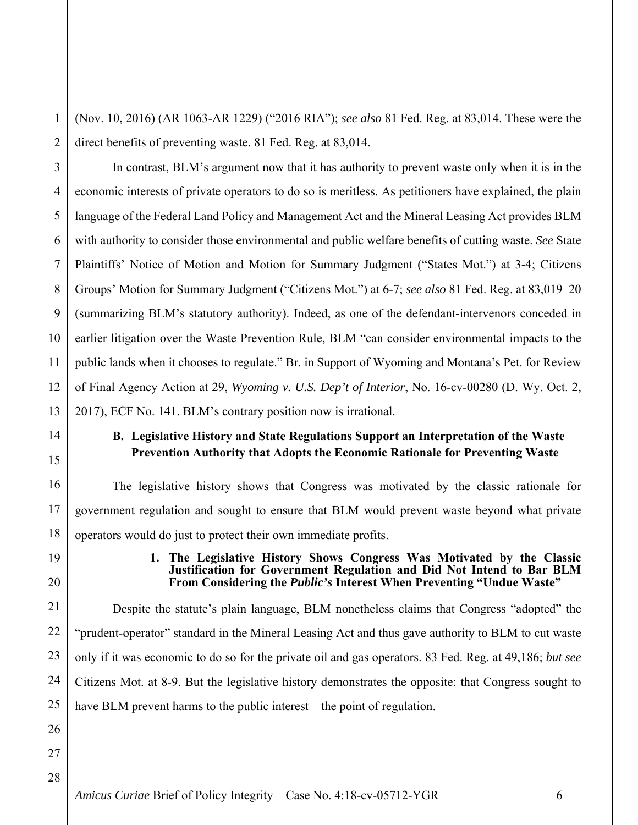1 2 (Nov. 10, 2016) (AR 1063-AR 1229) ("2016 RIA"); *see also* 81 Fed. Reg. at 83,014. These were the direct benefits of preventing waste. 81 Fed. Reg. at 83,014.

3 4 5 6 7 8 9 10 11 12 13 In contrast, BLM's argument now that it has authority to prevent waste only when it is in the economic interests of private operators to do so is meritless. As petitioners have explained, the plain language of the Federal Land Policy and Management Act and the Mineral Leasing Act provides BLM with authority to consider those environmental and public welfare benefits of cutting waste. *See* State Plaintiffs' Notice of Motion and Motion for Summary Judgment ("States Mot.") at 3-4; Citizens Groups' Motion for Summary Judgment ("Citizens Mot.") at 6-7; *see also* 81 Fed. Reg. at 83,019–20 (summarizing BLM's statutory authority). Indeed, as one of the defendant-intervenors conceded in earlier litigation over the Waste Prevention Rule, BLM "can consider environmental impacts to the public lands when it chooses to regulate." Br. in Support of Wyoming and Montana's Pet. for Review of Final Agency Action at 29, *Wyoming v. U.S. Dep't of Interior*, No. 16-cv-00280 (D. Wy. Oct. 2, 2017), ECF No. 141. BLM's contrary position now is irrational.

# **B. Legislative History and State Regulations Support an Interpretation of the Waste Prevention Authority that Adopts the Economic Rationale for Preventing Waste**

The legislative history shows that Congress was motivated by the classic rationale for government regulation and sought to ensure that BLM would prevent waste beyond what private operators would do just to protect their own immediate profits.

#### **1. The Legislative History Shows Congress Was Motivated by the Classic Justification for Government Regulation and Did Not Intend to Bar BLM From Considering the** *Public's* **Interest When Preventing "Undue Waste"**

Despite the statute's plain language, BLM nonetheless claims that Congress "adopted" the "prudent-operator" standard in the Mineral Leasing Act and thus gave authority to BLM to cut waste only if it was economic to do so for the private oil and gas operators. 83 Fed. Reg. at 49,186; *but see* Citizens Mot. at 8-9. But the legislative history demonstrates the opposite: that Congress sought to have BLM prevent harms to the public interest—the point of regulation.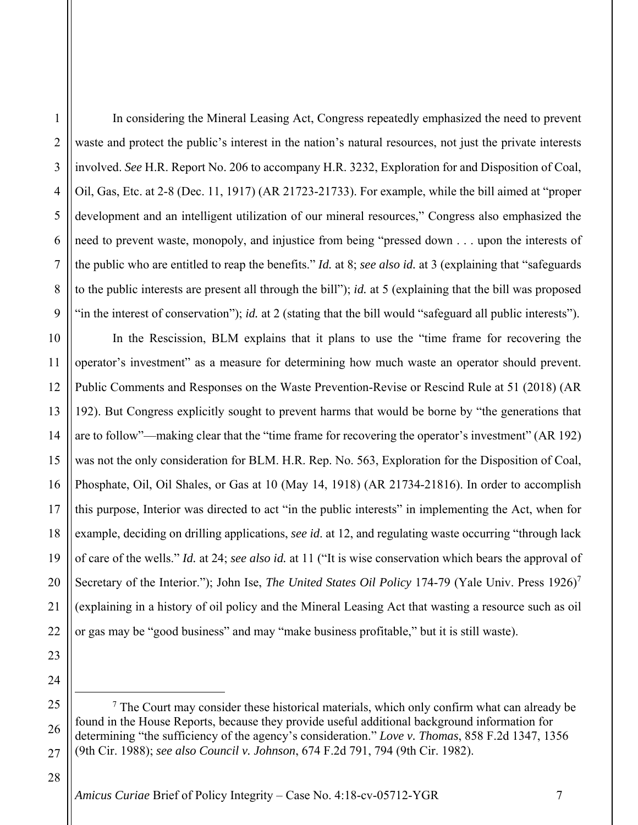In considering the Mineral Leasing Act, Congress repeatedly emphasized the need to prevent waste and protect the public's interest in the nation's natural resources, not just the private interests involved. *See* H.R. Report No. 206 to accompany H.R. 3232, Exploration for and Disposition of Coal, Oil, Gas, Etc. at 2-8 (Dec. 11, 1917) (AR 21723-21733). For example, while the bill aimed at "proper development and an intelligent utilization of our mineral resources," Congress also emphasized the need to prevent waste, monopoly, and injustice from being "pressed down . . . upon the interests of the public who are entitled to reap the benefits." *Id.* at 8; *see also id.* at 3 (explaining that "safeguards to the public interests are present all through the bill"); *id.* at 5 (explaining that the bill was proposed "in the interest of conservation"); *id.* at 2 (stating that the bill would "safeguard all public interests").

In the Rescission, BLM explains that it plans to use the "time frame for recovering the operator's investment" as a measure for determining how much waste an operator should prevent. Public Comments and Responses on the Waste Prevention-Revise or Rescind Rule at 51 (2018) (AR 192). But Congress explicitly sought to prevent harms that would be borne by "the generations that are to follow"—making clear that the "time frame for recovering the operator's investment" (AR 192) was not the only consideration for BLM. H.R. Rep. No. 563, Exploration for the Disposition of Coal, Phosphate, Oil, Oil Shales, or Gas at 10 (May 14, 1918) (AR 21734-21816). In order to accomplish this purpose, Interior was directed to act "in the public interests" in implementing the Act, when for example, deciding on drilling applications, *see id*. at 12, and regulating waste occurring "through lack of care of the wells." *Id.* at 24; *see also id.* at 11 ("It is wise conservation which bears the approval of Secretary of the Interior."); John Ise, *The United States Oil Policy* 174-79 (Yale Univ. Press 1926)<sup>7</sup> (explaining in a history of oil policy and the Mineral Leasing Act that wasting a resource such as oil or gas may be "good business" and may "make business profitable," but it is still waste).

 $\overline{\phantom{a}}$  $\frac{7}{1}$  The Court may consider these historical materials, which only confirm what can already be found in the House Reports, because they provide useful additional background information for determining "the sufficiency of the agency's consideration." *Love v. Thomas*, 858 F.2d 1347, 1356 (9th Cir. 1988); *see also Council v. Johnson*, 674 F.2d 791, 794 (9th Cir. 1982).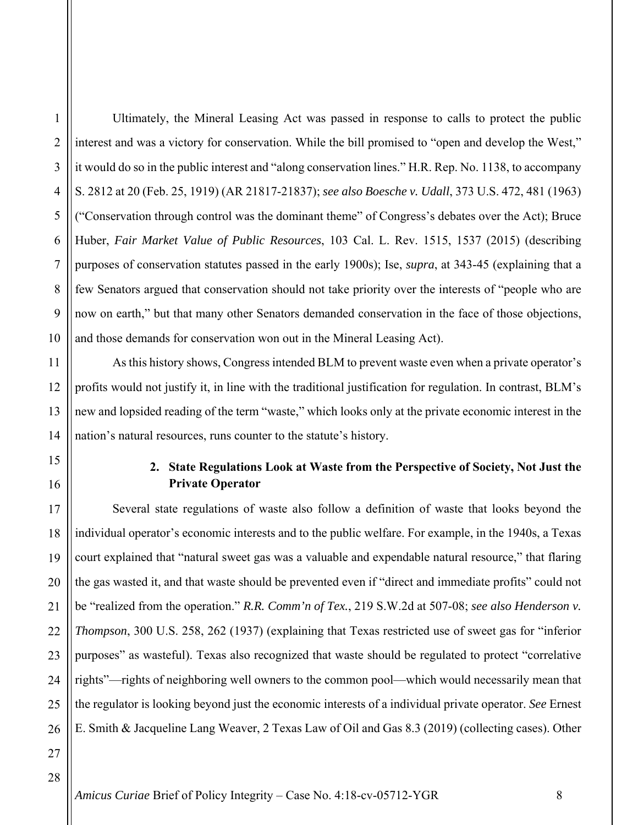2

3

4

Ultimately, the Mineral Leasing Act was passed in response to calls to protect the public interest and was a victory for conservation. While the bill promised to "open and develop the West," it would do so in the public interest and "along conservation lines." H.R. Rep. No. 1138, to accompany S. 2812 at 20 (Feb. 25, 1919) (AR 21817-21837); *see also Boesche v. Udall*, 373 U.S. 472, 481 (1963) ("Conservation through control was the dominant theme" of Congress's debates over the Act); Bruce Huber, *Fair Market Value of Public Resources*, 103 Cal. L. Rev. 1515, 1537 (2015) (describing purposes of conservation statutes passed in the early 1900s); Ise, *supra*, at 343-45 (explaining that a few Senators argued that conservation should not take priority over the interests of "people who are now on earth," but that many other Senators demanded conservation in the face of those objections, and those demands for conservation won out in the Mineral Leasing Act).

As this history shows, Congress intended BLM to prevent waste even when a private operator's profits would not justify it, in line with the traditional justification for regulation. In contrast, BLM's new and lopsided reading of the term "waste," which looks only at the private economic interest in the nation's natural resources, runs counter to the statute's history.

# **2. State Regulations Look at Waste from the Perspective of Society, Not Just the Private Operator**

Several state regulations of waste also follow a definition of waste that looks beyond the individual operator's economic interests and to the public welfare. For example, in the 1940s, a Texas court explained that "natural sweet gas was a valuable and expendable natural resource," that flaring the gas wasted it, and that waste should be prevented even if "direct and immediate profits" could not be "realized from the operation." *R.R. Comm'n of Tex.*, 219 S.W.2d at 507-08; *see also Henderson v. Thompson*, 300 U.S. 258, 262 (1937) (explaining that Texas restricted use of sweet gas for "inferior purposes" as wasteful). Texas also recognized that waste should be regulated to protect "correlative rights"—rights of neighboring well owners to the common pool—which would necessarily mean that the regulator is looking beyond just the economic interests of a individual private operator. *See* Ernest E. Smith & Jacqueline Lang Weaver, 2 Texas Law of Oil and Gas 8.3 (2019) (collecting cases). Other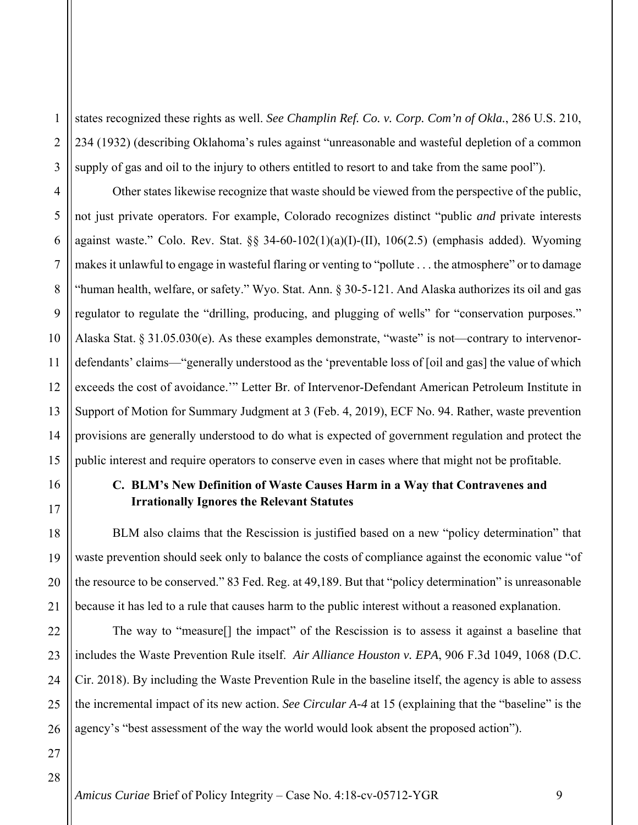1 2 3 states recognized these rights as well. *See Champlin Ref. Co. v. Corp. Com'n of Okla.*, 286 U.S. 210, 234 (1932) (describing Oklahoma's rules against "unreasonable and wasteful depletion of a common supply of gas and oil to the injury to others entitled to resort to and take from the same pool").

4 6 8 10 Other states likewise recognize that waste should be viewed from the perspective of the public, not just private operators. For example, Colorado recognizes distinct "public *and* private interests against waste." Colo. Rev. Stat. §§ 34-60-102(1)(a)(I)-(II), 106(2.5) (emphasis added). Wyoming makes it unlawful to engage in wasteful flaring or venting to "pollute . . . the atmosphere" or to damage "human health, welfare, or safety." Wyo. Stat. Ann. § 30-5-121. And Alaska authorizes its oil and gas regulator to regulate the "drilling, producing, and plugging of wells" for "conservation purposes." Alaska Stat. § 31.05.030(e). As these examples demonstrate, "waste" is not—contrary to intervenordefendants' claims—"generally understood as the 'preventable loss of [oil and gas] the value of which exceeds the cost of avoidance.'" Letter Br. of Intervenor-Defendant American Petroleum Institute in Support of Motion for Summary Judgment at 3 (Feb. 4, 2019), ECF No. 94. Rather, waste prevention provisions are generally understood to do what is expected of government regulation and protect the public interest and require operators to conserve even in cases where that might not be profitable.

## **C. BLM's New Definition of Waste Causes Harm in a Way that Contravenes and Irrationally Ignores the Relevant Statutes**

BLM also claims that the Rescission is justified based on a new "policy determination" that waste prevention should seek only to balance the costs of compliance against the economic value "of the resource to be conserved." 83 Fed. Reg. at 49,189. But that "policy determination" is unreasonable because it has led to a rule that causes harm to the public interest without a reasoned explanation.

The way to "measure[] the impact" of the Rescission is to assess it against a baseline that includes the Waste Prevention Rule itself. *Air Alliance Houston v. EPA*, 906 F.3d 1049, 1068 (D.C. Cir. 2018). By including the Waste Prevention Rule in the baseline itself, the agency is able to assess the incremental impact of its new action. *See Circular A-4* at 15 (explaining that the "baseline" is the agency's "best assessment of the way the world would look absent the proposed action").

5

7

9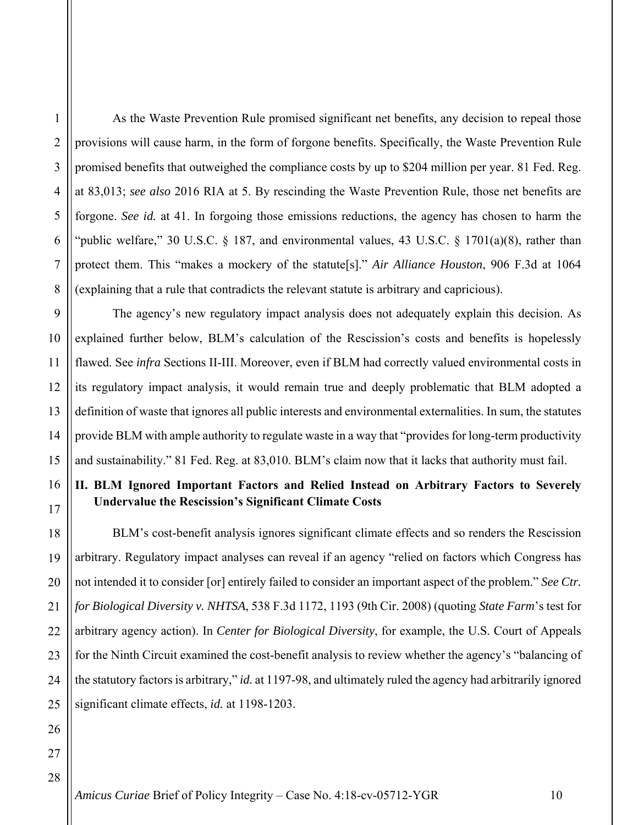2

3

4

5

6

As the Waste Prevention Rule promised significant net benefits, any decision to repeal those provisions will cause harm, in the form of forgone benefits. Specifically, the Waste Prevention Rule promised benefits that outweighed the compliance costs by up to \$204 million per year. 81 Fed. Reg. at 83,013; *see also* 2016 RIA at 5. By rescinding the Waste Prevention Rule, those net benefits are forgone. *See id.* at 41. In forgoing those emissions reductions, the agency has chosen to harm the "public welfare," 30 U.S.C. § 187, and environmental values, 43 U.S.C. § 1701(a)(8), rather than protect them. This "makes a mockery of the statute[s]." *Air Alliance Houston*, 906 F.3d at 1064 (explaining that a rule that contradicts the relevant statute is arbitrary and capricious).

The agency's new regulatory impact analysis does not adequately explain this decision. As explained further below, BLM's calculation of the Rescission's costs and benefits is hopelessly flawed. See *infra* Sections II-III. Moreover, even if BLM had correctly valued environmental costs in its regulatory impact analysis, it would remain true and deeply problematic that BLM adopted a definition of waste that ignores all public interests and environmental externalities. In sum, the statutes provide BLM with ample authority to regulate waste in a way that "provides for long-term productivity and sustainability." 81 Fed. Reg. at 83,010. BLM's claim now that it lacks that authority must fail.

# **II. BLM Ignored Important Factors and Relied Instead on Arbitrary Factors to Severely Undervalue the Rescission's Significant Climate Costs**

BLM's cost-benefit analysis ignores significant climate effects and so renders the Rescission arbitrary. Regulatory impact analyses can reveal if an agency "relied on factors which Congress has not intended it to consider [or] entirely failed to consider an important aspect of the problem." *See Ctr. for Biological Diversity v. NHTSA*, 538 F.3d 1172, 1193 (9th Cir. 2008) (quoting *State Farm*'s test for arbitrary agency action). In *Center for Biological Diversity*, for example, the U.S. Court of Appeals for the Ninth Circuit examined the cost-benefit analysis to review whether the agency's "balancing of the statutory factors is arbitrary," *id.* at 1197-98, and ultimately ruled the agency had arbitrarily ignored significant climate effects, *id.* at 1198-1203.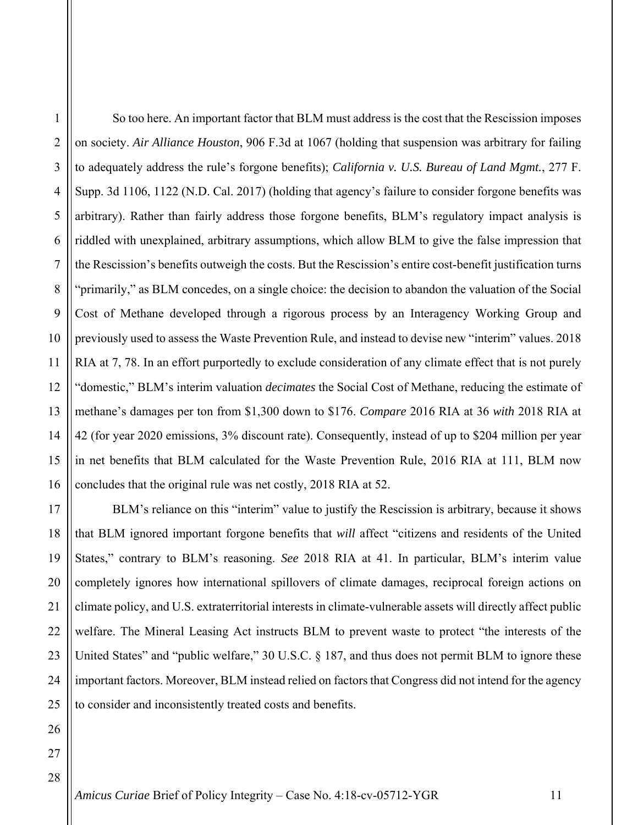So too here. An important factor that BLM must address is the cost that the Rescission imposes on society. *Air Alliance Houston*, 906 F.3d at 1067 (holding that suspension was arbitrary for failing to adequately address the rule's forgone benefits); *California v. U.S. Bureau of Land Mgmt.*, 277 F. Supp. 3d 1106, 1122 (N.D. Cal. 2017) (holding that agency's failure to consider forgone benefits was arbitrary). Rather than fairly address those forgone benefits, BLM's regulatory impact analysis is riddled with unexplained, arbitrary assumptions, which allow BLM to give the false impression that the Rescission's benefits outweigh the costs. But the Rescission's entire cost-benefit justification turns "primarily," as BLM concedes, on a single choice: the decision to abandon the valuation of the Social Cost of Methane developed through a rigorous process by an Interagency Working Group and previously used to assess the Waste Prevention Rule, and instead to devise new "interim" values. 2018 RIA at 7, 78. In an effort purportedly to exclude consideration of any climate effect that is not purely "domestic," BLM's interim valuation *decimates* the Social Cost of Methane, reducing the estimate of methane's damages per ton from \$1,300 down to \$176. *Compare* 2016 RIA at 36 *with* 2018 RIA at 42 (for year 2020 emissions, 3% discount rate). Consequently, instead of up to \$204 million per year in net benefits that BLM calculated for the Waste Prevention Rule, 2016 RIA at 111, BLM now concludes that the original rule was net costly, 2018 RIA at 52.

BLM's reliance on this "interim" value to justify the Rescission is arbitrary, because it shows that BLM ignored important forgone benefits that *will* affect "citizens and residents of the United States," contrary to BLM's reasoning. *See* 2018 RIA at 41. In particular, BLM's interim value completely ignores how international spillovers of climate damages, reciprocal foreign actions on climate policy, and U.S. extraterritorial interests in climate-vulnerable assets will directly affect public welfare. The Mineral Leasing Act instructs BLM to prevent waste to protect "the interests of the United States" and "public welfare," 30 U.S.C. § 187, and thus does not permit BLM to ignore these important factors. Moreover, BLM instead relied on factors that Congress did not intend for the agency to consider and inconsistently treated costs and benefits.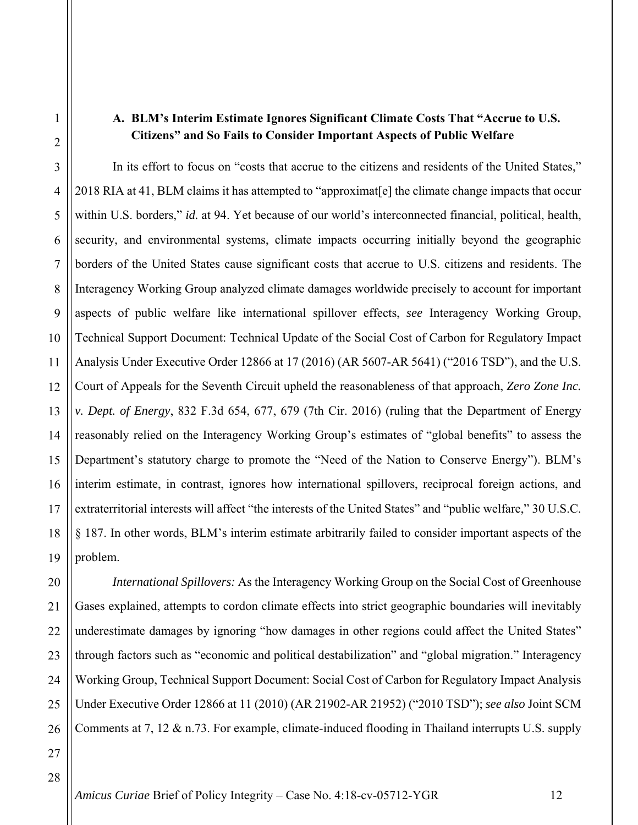#### **A. BLM's Interim Estimate Ignores Significant Climate Costs That "Accrue to U.S. Citizens" and So Fails to Consider Important Aspects of Public Welfare**

In its effort to focus on "costs that accrue to the citizens and residents of the United States," 2018 RIA at 41, BLM claims it has attempted to "approximat[e] the climate change impacts that occur within U.S. borders," *id.* at 94. Yet because of our world's interconnected financial, political, health, security, and environmental systems, climate impacts occurring initially beyond the geographic borders of the United States cause significant costs that accrue to U.S. citizens and residents. The Interagency Working Group analyzed climate damages worldwide precisely to account for important aspects of public welfare like international spillover effects, *see* Interagency Working Group, Technical Support Document: Technical Update of the Social Cost of Carbon for Regulatory Impact Analysis Under Executive Order 12866 at 17 (2016) (AR 5607-AR 5641) ("2016 TSD"), and the U.S. Court of Appeals for the Seventh Circuit upheld the reasonableness of that approach, *Zero Zone Inc. v. Dept. of Energy*, 832 F.3d 654, 677, 679 (7th Cir. 2016) (ruling that the Department of Energy reasonably relied on the Interagency Working Group's estimates of "global benefits" to assess the Department's statutory charge to promote the "Need of the Nation to Conserve Energy"). BLM's interim estimate, in contrast, ignores how international spillovers, reciprocal foreign actions, and extraterritorial interests will affect "the interests of the United States" and "public welfare," 30 U.S.C. § 187. In other words, BLM's interim estimate arbitrarily failed to consider important aspects of the problem.

*International Spillovers:* As the Interagency Working Group on the Social Cost of Greenhouse Gases explained, attempts to cordon climate effects into strict geographic boundaries will inevitably underestimate damages by ignoring "how damages in other regions could affect the United States" through factors such as "economic and political destabilization" and "global migration." Interagency Working Group, Technical Support Document: Social Cost of Carbon for Regulatory Impact Analysis Under Executive Order 12866 at 11 (2010) (AR 21902-AR 21952) ("2010 TSD"); *see also* Joint SCM Comments at 7, 12 & n.73. For example, climate-induced flooding in Thailand interrupts U.S. supply

1

2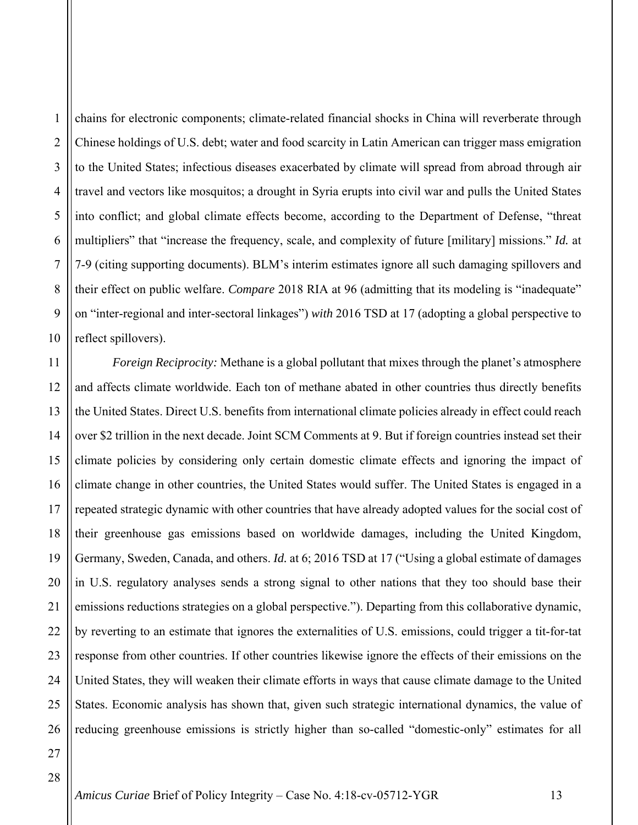1

2

3

4

chains for electronic components; climate-related financial shocks in China will reverberate through Chinese holdings of U.S. debt; water and food scarcity in Latin American can trigger mass emigration to the United States; infectious diseases exacerbated by climate will spread from abroad through air travel and vectors like mosquitos; a drought in Syria erupts into civil war and pulls the United States into conflict; and global climate effects become, according to the Department of Defense, "threat multipliers" that "increase the frequency, scale, and complexity of future [military] missions." *Id.* at 7-9 (citing supporting documents). BLM's interim estimates ignore all such damaging spillovers and their effect on public welfare. *Compare* 2018 RIA at 96 (admitting that its modeling is "inadequate" on "inter-regional and inter-sectoral linkages") *with* 2016 TSD at 17 (adopting a global perspective to reflect spillovers).

*Foreign Reciprocity:* Methane is a global pollutant that mixes through the planet's atmosphere and affects climate worldwide. Each ton of methane abated in other countries thus directly benefits the United States. Direct U.S. benefits from international climate policies already in effect could reach over \$2 trillion in the next decade. Joint SCM Comments at 9. But if foreign countries instead set their climate policies by considering only certain domestic climate effects and ignoring the impact of climate change in other countries, the United States would suffer. The United States is engaged in a repeated strategic dynamic with other countries that have already adopted values for the social cost of their greenhouse gas emissions based on worldwide damages, including the United Kingdom, Germany, Sweden, Canada, and others. *Id.* at 6; 2016 TSD at 17 ("Using a global estimate of damages in U.S. regulatory analyses sends a strong signal to other nations that they too should base their emissions reductions strategies on a global perspective."). Departing from this collaborative dynamic, by reverting to an estimate that ignores the externalities of U.S. emissions, could trigger a tit-for-tat response from other countries. If other countries likewise ignore the effects of their emissions on the United States, they will weaken their climate efforts in ways that cause climate damage to the United States. Economic analysis has shown that, given such strategic international dynamics, the value of reducing greenhouse emissions is strictly higher than so-called "domestic-only" estimates for all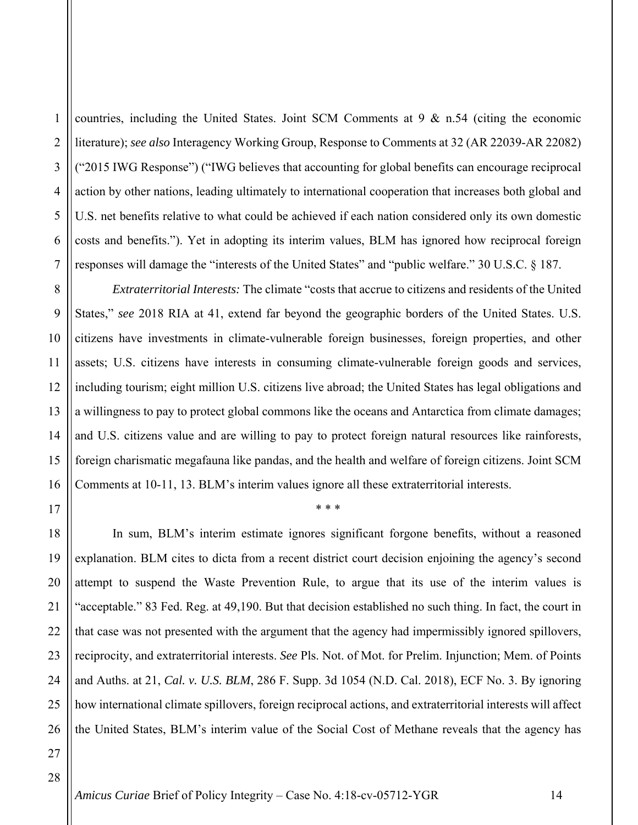2

3

4

5

6

7

8

9

10

11

12

13

14

15

16

17

countries, including the United States. Joint SCM Comments at  $9 \& n.54$  (citing the economic literature); *see also* Interagency Working Group, Response to Comments at 32 (AR 22039-AR 22082) ("2015 IWG Response") ("IWG believes that accounting for global benefits can encourage reciprocal action by other nations, leading ultimately to international cooperation that increases both global and U.S. net benefits relative to what could be achieved if each nation considered only its own domestic costs and benefits."). Yet in adopting its interim values, BLM has ignored how reciprocal foreign responses will damage the "interests of the United States" and "public welfare." 30 U.S.C. § 187.

*Extraterritorial Interests:* The climate "costs that accrue to citizens and residents of the United States," *see* 2018 RIA at 41, extend far beyond the geographic borders of the United States. U.S. citizens have investments in climate-vulnerable foreign businesses, foreign properties, and other assets; U.S. citizens have interests in consuming climate-vulnerable foreign goods and services, including tourism; eight million U.S. citizens live abroad; the United States has legal obligations and a willingness to pay to protect global commons like the oceans and Antarctica from climate damages; and U.S. citizens value and are willing to pay to protect foreign natural resources like rainforests, foreign charismatic megafauna like pandas, and the health and welfare of foreign citizens. Joint SCM Comments at 10-11, 13. BLM's interim values ignore all these extraterritorial interests.

\* \* \*

18 19 20 21 22 23 24 25 26 In sum, BLM's interim estimate ignores significant forgone benefits, without a reasoned explanation. BLM cites to dicta from a recent district court decision enjoining the agency's second attempt to suspend the Waste Prevention Rule, to argue that its use of the interim values is "acceptable." 83 Fed. Reg. at 49,190. But that decision established no such thing. In fact, the court in that case was not presented with the argument that the agency had impermissibly ignored spillovers, reciprocity, and extraterritorial interests. *See* Pls. Not. of Mot. for Prelim. Injunction; Mem. of Points and Auths. at 21, *Cal. v. U.S. BLM*, 286 F. Supp. 3d 1054 (N.D. Cal. 2018), ECF No. 3. By ignoring how international climate spillovers, foreign reciprocal actions, and extraterritorial interests will affect the United States, BLM's interim value of the Social Cost of Methane reveals that the agency has

28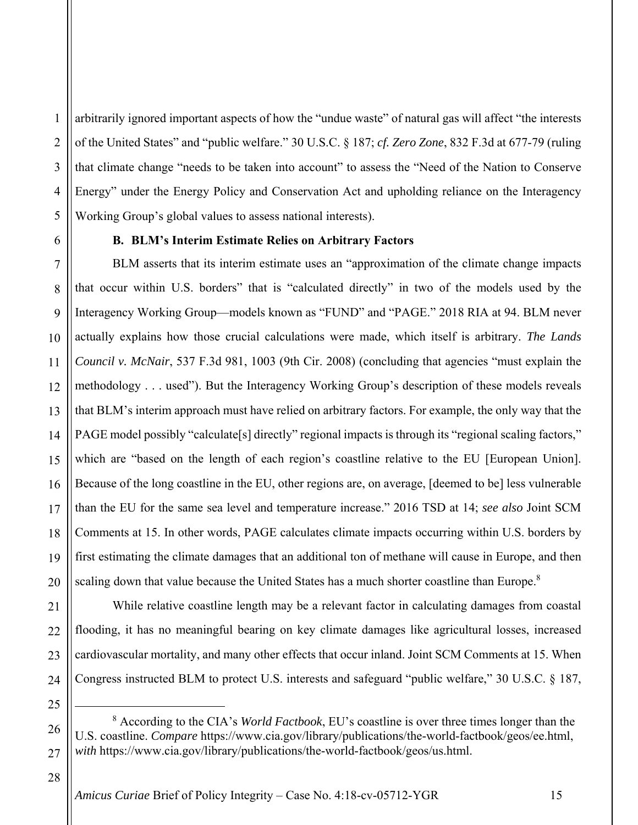2 3 4 5 arbitrarily ignored important aspects of how the "undue waste" of natural gas will affect "the interests of the United States" and "public welfare." 30 U.S.C. § 187; *cf. Zero Zone*, 832 F.3d at 677-79 (ruling that climate change "needs to be taken into account" to assess the "Need of the Nation to Conserve Energy" under the Energy Policy and Conservation Act and upholding reliance on the Interagency Working Group's global values to assess national interests).

#### **B. BLM's Interim Estimate Relies on Arbitrary Factors**

BLM asserts that its interim estimate uses an "approximation of the climate change impacts that occur within U.S. borders" that is "calculated directly" in two of the models used by the Interagency Working Group—models known as "FUND" and "PAGE." 2018 RIA at 94. BLM never actually explains how those crucial calculations were made, which itself is arbitrary. *The Lands Council v. McNair*, 537 F.3d 981, 1003 (9th Cir. 2008) (concluding that agencies "must explain the methodology . . . used"). But the Interagency Working Group's description of these models reveals that BLM's interim approach must have relied on arbitrary factors. For example, the only way that the PAGE model possibly "calculate[s] directly" regional impacts is through its "regional scaling factors," which are "based on the length of each region's coastline relative to the EU [European Union]. Because of the long coastline in the EU, other regions are, on average, [deemed to be] less vulnerable than the EU for the same sea level and temperature increase." 2016 TSD at 14; *see also* Joint SCM Comments at 15. In other words, PAGE calculates climate impacts occurring within U.S. borders by first estimating the climate damages that an additional ton of methane will cause in Europe, and then scaling down that value because the United States has a much shorter coastline than Europe. $8$ 

While relative coastline length may be a relevant factor in calculating damages from coastal flooding, it has no meaningful bearing on key climate damages like agricultural losses, increased cardiovascular mortality, and many other effects that occur inland. Joint SCM Comments at 15. When Congress instructed BLM to protect U.S. interests and safeguard "public welfare," 30 U.S.C. § 187,

26 27 8 According to the CIA's *World Factbook*, EU's coastline is over three times longer than the U.S. coastline. *Compare* https://www.cia.gov/library/publications/the-world-factbook/geos/ee.html, *with* https://www.cia.gov/library/publications/the-world-factbook/geos/us.html.

28

1

6

7

8

9

10

11

12

13

14

15

16

17

18

19

20

21

22

23

24

25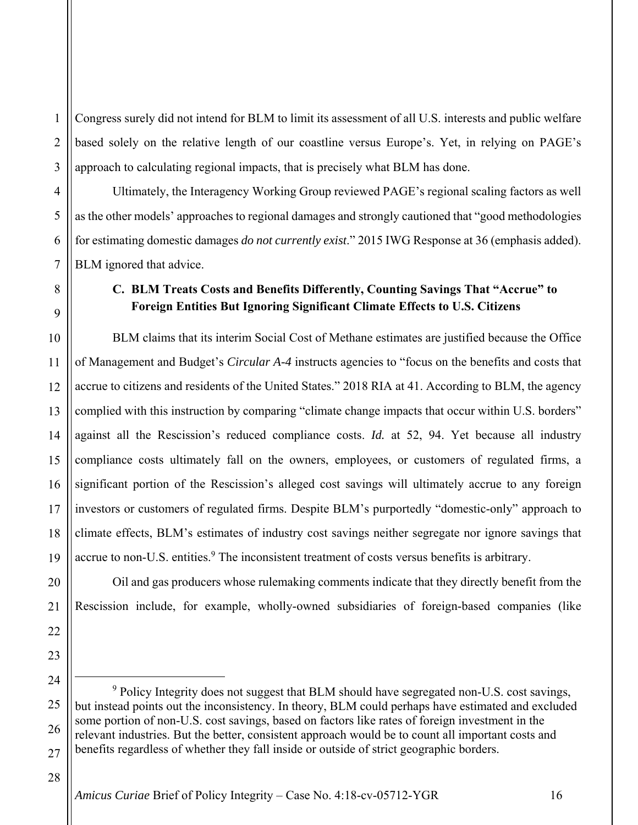1 2 3 Congress surely did not intend for BLM to limit its assessment of all U.S. interests and public welfare based solely on the relative length of our coastline versus Europe's. Yet, in relying on PAGE's approach to calculating regional impacts, that is precisely what BLM has done.

Ultimately, the Interagency Working Group reviewed PAGE's regional scaling factors as well as the other models' approaches to regional damages and strongly cautioned that "good methodologies for estimating domestic damages *do not currently exist*." 2015 IWG Response at 36 (emphasis added). BLM ignored that advice.

## **C. BLM Treats Costs and Benefits Differently, Counting Savings That "Accrue" to Foreign Entities But Ignoring Significant Climate Effects to U.S. Citizens**

BLM claims that its interim Social Cost of Methane estimates are justified because the Office of Management and Budget's *Circular A-4* instructs agencies to "focus on the benefits and costs that accrue to citizens and residents of the United States." 2018 RIA at 41. According to BLM, the agency complied with this instruction by comparing "climate change impacts that occur within U.S. borders" against all the Rescission's reduced compliance costs. *Id.* at 52, 94. Yet because all industry compliance costs ultimately fall on the owners, employees, or customers of regulated firms, a significant portion of the Rescission's alleged cost savings will ultimately accrue to any foreign investors or customers of regulated firms. Despite BLM's purportedly "domestic-only" approach to climate effects, BLM's estimates of industry cost savings neither segregate nor ignore savings that accrue to non-U.S. entities.<sup>9</sup> The inconsistent treatment of costs versus benefits is arbitrary.

Oil and gas producers whose rulemaking comments indicate that they directly benefit from the Rescission include, for example, wholly-owned subsidiaries of foreign-based companies (like

 9 <sup>9</sup> Policy Integrity does not suggest that BLM should have segregated non-U.S. cost savings, but instead points out the inconsistency. In theory, BLM could perhaps have estimated and excluded some portion of non-U.S. cost savings, based on factors like rates of foreign investment in the relevant industries. But the better, consistent approach would be to count all important costs and benefits regardless of whether they fall inside or outside of strict geographic borders.

4

5

6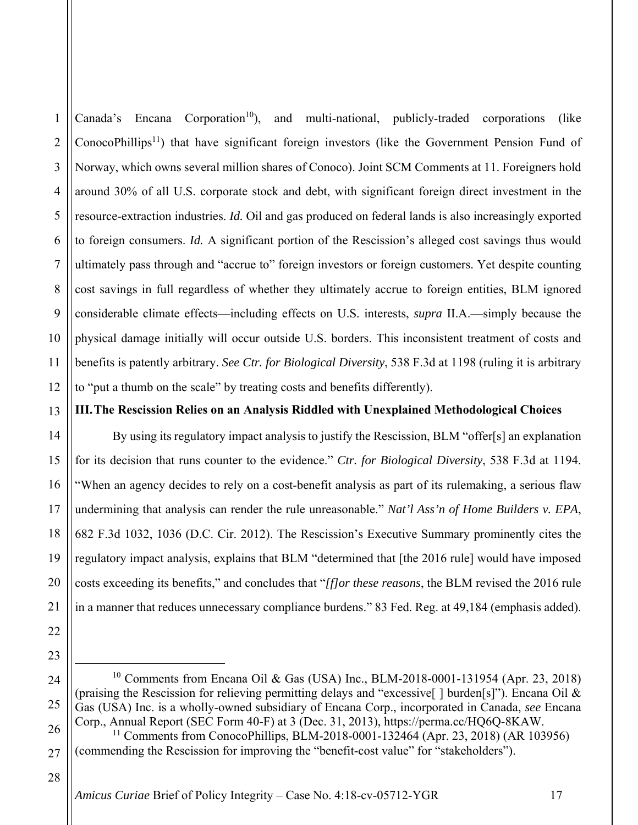1 2 3 4 5 6 7 8 9 10 11 12 Canada's Encana Corporation<sup>10</sup>), and multi-national, publicly-traded corporations (like ConocoPhillips<sup>11</sup>) that have significant foreign investors (like the Government Pension Fund of Norway, which owns several million shares of Conoco). Joint SCM Comments at 11. Foreigners hold around 30% of all U.S. corporate stock and debt, with significant foreign direct investment in the resource-extraction industries. *Id.* Oil and gas produced on federal lands is also increasingly exported to foreign consumers. *Id.* A significant portion of the Rescission's alleged cost savings thus would ultimately pass through and "accrue to" foreign investors or foreign customers. Yet despite counting cost savings in full regardless of whether they ultimately accrue to foreign entities, BLM ignored considerable climate effects—including effects on U.S. interests, *supra* II.A.—simply because the physical damage initially will occur outside U.S. borders. This inconsistent treatment of costs and benefits is patently arbitrary. *See Ctr. for Biological Diversity*, 538 F.3d at 1198 (ruling it is arbitrary to "put a thumb on the scale" by treating costs and benefits differently).

#### **III.The Rescission Relies on an Analysis Riddled with Unexplained Methodological Choices**

By using its regulatory impact analysis to justify the Rescission, BLM "offer[s] an explanation for its decision that runs counter to the evidence." *Ctr. for Biological Diversity*, 538 F.3d at 1194. "When an agency decides to rely on a cost-benefit analysis as part of its rulemaking, a serious flaw undermining that analysis can render the rule unreasonable." *Nat'l Ass'n of Home Builders v. EPA*, 682 F.3d 1032, 1036 (D.C. Cir. 2012). The Rescission's Executive Summary prominently cites the regulatory impact analysis, explains that BLM "determined that [the 2016 rule] would have imposed costs exceeding its benefits," and concludes that "*[f]or these reasons*, the BLM revised the 2016 rule in a manner that reduces unnecessary compliance burdens." 83 Fed. Reg. at 49,184 (emphasis added).

- 24 25 10 Comments from Encana Oil & Gas (USA) Inc., BLM-2018-0001-131954 (Apr. 23, 2018) (praising the Rescission for relieving permitting delays and "excessive[ ] burden[s]"). Encana Oil & Gas (USA) Inc. is a wholly-owned subsidiary of Encana Corp., incorporated in Canada, *see* Encana Corp., Annual Report (SEC Form 40-F) at 3 (Dec. 31, 2013), https://perma.cc/HQ6Q-8KAW.
- 26 27 <sup>11</sup> Comments from ConocoPhillips, BLM-2018-0001-132464 (Apr. 23, 2018) (AR 103956) (commending the Rescission for improving the "benefit-cost value" for "stakeholders").

28

13

14

15

16

17

18

19

20

21

22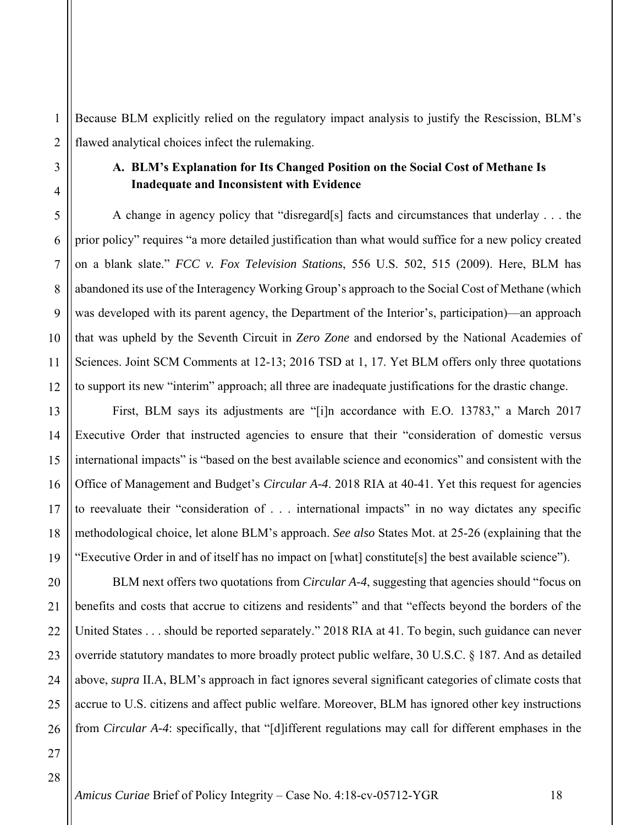1 2 Because BLM explicitly relied on the regulatory impact analysis to justify the Rescission, BLM's flawed analytical choices infect the rulemaking.

## **A. BLM's Explanation for Its Changed Position on the Social Cost of Methane Is Inadequate and Inconsistent with Evidence**

A change in agency policy that "disregard[s] facts and circumstances that underlay . . . the prior policy" requires "a more detailed justification than what would suffice for a new policy created on a blank slate." *FCC v. Fox Television Stations*, 556 U.S. 502, 515 (2009). Here, BLM has abandoned its use of the Interagency Working Group's approach to the Social Cost of Methane (which was developed with its parent agency, the Department of the Interior's, participation)—an approach that was upheld by the Seventh Circuit in *Zero Zone* and endorsed by the National Academies of Sciences. Joint SCM Comments at 12-13; 2016 TSD at 1, 17. Yet BLM offers only three quotations to support its new "interim" approach; all three are inadequate justifications for the drastic change.

First, BLM says its adjustments are "[i]n accordance with E.O. 13783," a March 2017 Executive Order that instructed agencies to ensure that their "consideration of domestic versus international impacts" is "based on the best available science and economics" and consistent with the Office of Management and Budget's *Circular A-4*. 2018 RIA at 40-41. Yet this request for agencies to reevaluate their "consideration of . . . international impacts" in no way dictates any specific methodological choice, let alone BLM's approach. *See also* States Mot. at 25-26 (explaining that the "Executive Order in and of itself has no impact on [what] constitute[s] the best available science").

BLM next offers two quotations from *Circular A-4*, suggesting that agencies should "focus on benefits and costs that accrue to citizens and residents" and that "effects beyond the borders of the United States . . . should be reported separately." 2018 RIA at 41. To begin, such guidance can never override statutory mandates to more broadly protect public welfare, 30 U.S.C. § 187. And as detailed above, *supra* II.A, BLM's approach in fact ignores several significant categories of climate costs that accrue to U.S. citizens and affect public welfare. Moreover, BLM has ignored other key instructions from *Circular A-4*: specifically, that "[d]ifferent regulations may call for different emphases in the

3

4

5

6

7

8

9

10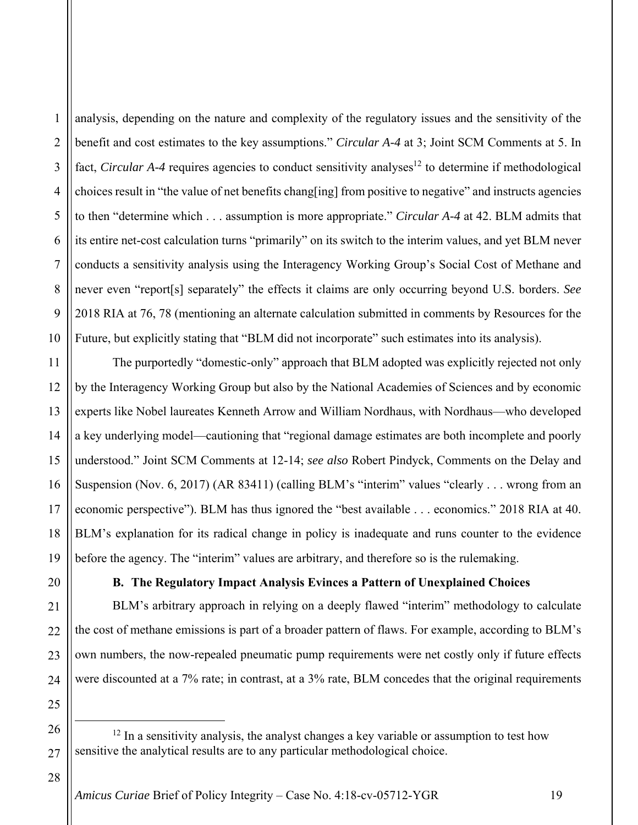1

2

3

4

5

analysis, depending on the nature and complexity of the regulatory issues and the sensitivity of the benefit and cost estimates to the key assumptions." *Circular A-4* at 3; Joint SCM Comments at 5. In fact, *Circular A-4* requires agencies to conduct sensitivity analyses<sup>12</sup> to determine if methodological choices result in "the value of net benefits chang[ing] from positive to negative" and instructs agencies to then "determine which . . . assumption is more appropriate." *Circular A-4* at 42. BLM admits that its entire net-cost calculation turns "primarily" on its switch to the interim values, and yet BLM never conducts a sensitivity analysis using the Interagency Working Group's Social Cost of Methane and never even "report[s] separately" the effects it claims are only occurring beyond U.S. borders. *See* 2018 RIA at 76, 78 (mentioning an alternate calculation submitted in comments by Resources for the Future, but explicitly stating that "BLM did not incorporate" such estimates into its analysis).

The purportedly "domestic-only" approach that BLM adopted was explicitly rejected not only by the Interagency Working Group but also by the National Academies of Sciences and by economic experts like Nobel laureates Kenneth Arrow and William Nordhaus, with Nordhaus—who developed a key underlying model—cautioning that "regional damage estimates are both incomplete and poorly understood." Joint SCM Comments at 12-14; *see also* Robert Pindyck, Comments on the Delay and Suspension (Nov. 6, 2017) (AR 83411) (calling BLM's "interim" values "clearly . . . wrong from an economic perspective"). BLM has thus ignored the "best available . . . economics." 2018 RIA at 40. BLM's explanation for its radical change in policy is inadequate and runs counter to the evidence before the agency. The "interim" values are arbitrary, and therefore so is the rulemaking.

## **B. The Regulatory Impact Analysis Evinces a Pattern of Unexplained Choices**

BLM's arbitrary approach in relying on a deeply flawed "interim" methodology to calculate the cost of methane emissions is part of a broader pattern of flaws. For example, according to BLM's own numbers, the now-repealed pneumatic pump requirements were net costly only if future effects were discounted at a 7% rate; in contrast, at a 3% rate, BLM concedes that the original requirements

28

23

24

25

26

 $12$  In a sensitivity analysis, the analyst changes a key variable or assumption to test how sensitive the analytical results are to any particular methodological choice.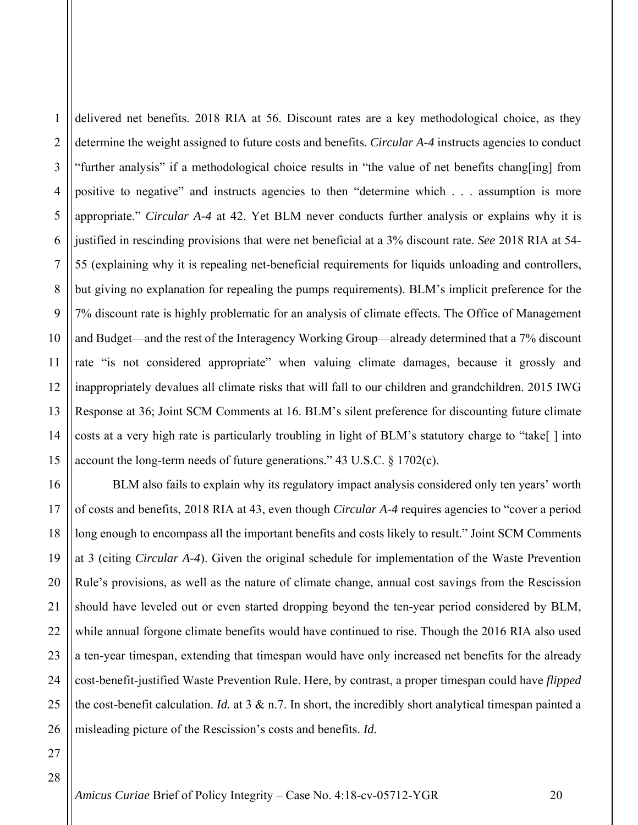1 2 3 4 5 6 7 8 9 10 11 12 13 14 15 delivered net benefits. 2018 RIA at 56. Discount rates are a key methodological choice, as they determine the weight assigned to future costs and benefits. *Circular A-4* instructs agencies to conduct "further analysis" if a methodological choice results in "the value of net benefits chang[ing] from positive to negative" and instructs agencies to then "determine which . . . assumption is more appropriate." *Circular A-4* at 42. Yet BLM never conducts further analysis or explains why it is justified in rescinding provisions that were net beneficial at a 3% discount rate. *See* 2018 RIA at 54- 55 (explaining why it is repealing net-beneficial requirements for liquids unloading and controllers, but giving no explanation for repealing the pumps requirements). BLM's implicit preference for the 7% discount rate is highly problematic for an analysis of climate effects. The Office of Management and Budget—and the rest of the Interagency Working Group—already determined that a 7% discount rate "is not considered appropriate" when valuing climate damages, because it grossly and inappropriately devalues all climate risks that will fall to our children and grandchildren. 2015 IWG Response at 36; Joint SCM Comments at 16. BLM's silent preference for discounting future climate costs at a very high rate is particularly troubling in light of BLM's statutory charge to "take[ ] into account the long-term needs of future generations." 43 U.S.C. § 1702(c).

16 17 18 19 20 21 22 23 24 25 26 BLM also fails to explain why its regulatory impact analysis considered only ten years' worth of costs and benefits, 2018 RIA at 43, even though *Circular A-4* requires agencies to "cover a period long enough to encompass all the important benefits and costs likely to result." Joint SCM Comments at 3 (citing *Circular A-4*). Given the original schedule for implementation of the Waste Prevention Rule's provisions, as well as the nature of climate change, annual cost savings from the Rescission should have leveled out or even started dropping beyond the ten-year period considered by BLM, while annual forgone climate benefits would have continued to rise. Though the 2016 RIA also used a ten-year timespan, extending that timespan would have only increased net benefits for the already cost-benefit-justified Waste Prevention Rule. Here, by contrast, a proper timespan could have *flipped* the cost-benefit calculation. *Id.* at 3 & n.7. In short, the incredibly short analytical timespan painted a misleading picture of the Rescission's costs and benefits. *Id.*